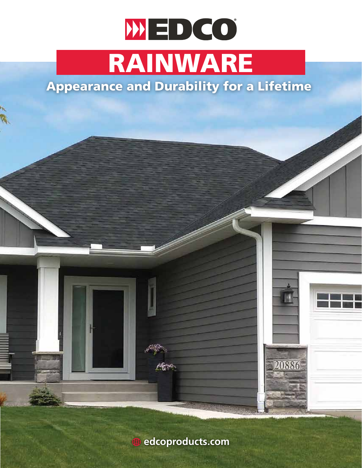## WED CO RAINWARE

## Appearance and Durability for a Lifetime

**edcoproducts.com**

**SEE BY** 

IN

20886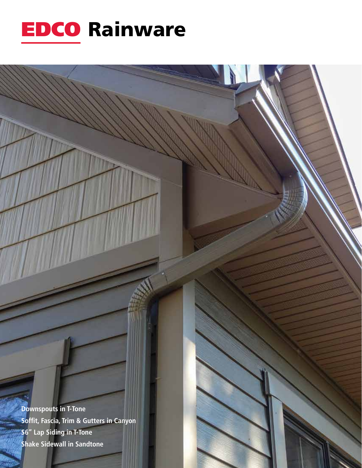

**Downspouts in T-Tone** Soffit, Fascia, Trim & Gutters in Canyon S6" Lap Siding in T-Tone **Shake Sidewall in Sandtone**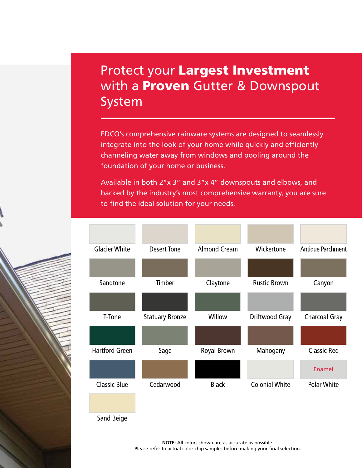## Protect your Largest Investment with a **Proven** Gutter & Downspout System

EDCO's comprehensive rainware systems are designed to seamlessly integrate into the look of your home while quickly and efficiently channeling water away from windows and pooling around the foundation of your home or business.

Available in both 2"x 3" and 3"x 4" downspouts and elbows, and backed by the industry's most comprehensive warranty, you are sure to find the ideal solution for your needs.



**NOTE:** All colors shown are as accurate as possible. Please refer to actual color chip samples before making your final selection.